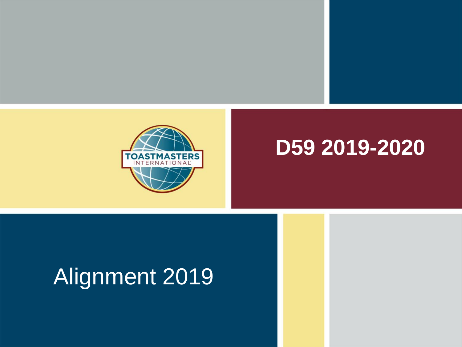

#### **D59 2019-2020**

# Alignment 2019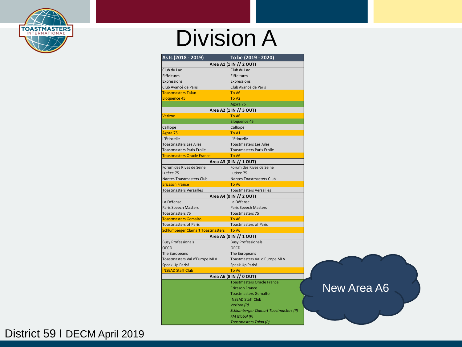

#### Division A

| As Is (2018 - 2019)                      | To be (2019 - 2020)                   |             |
|------------------------------------------|---------------------------------------|-------------|
|                                          | Area A1 (1 IN // 2 OUT)               |             |
| Club du Lac                              | Club du Lac                           |             |
| Eiffelturm                               | Eiffelturm                            |             |
| Expressions                              | Expressions                           |             |
| Club Avancé de Paris                     | Club Avancé de Paris                  |             |
| <b>Toastmasters Talan</b>                | To A6                                 |             |
| <b>Eloquence 45</b>                      | To A <sub>2</sub>                     |             |
|                                          | Agora 75                              |             |
|                                          | Area A2 (1 IN // 3 OUT)               |             |
| Verizon                                  | To A6                                 |             |
|                                          | Eloquence 45                          |             |
| Calliope                                 | Calliope                              |             |
| Agora 75                                 | To A1                                 |             |
| L'Étincelle                              | L'Étincelle                           |             |
| <b>Toastmasters Les Ailes</b>            | <b>Toastmasters Les Ailes</b>         |             |
| Toastmasters Paris Etoile                | <b>Toastmasters Paris Etoile</b>      |             |
| <b>Toastmasters Oracle France</b>        | To A6                                 |             |
|                                          | Area A3 (0 IN // 1 OUT)               |             |
| Forum des Rives de Seine                 | Forum des Rives de Seine              |             |
| Lutèce 75                                | Lutèce 75                             |             |
| Nantes Toastmasters Club                 | Nantes Toastmasters Club              |             |
| <b>Ericsson France</b>                   | To A6                                 |             |
| <b>Toastmasters Versailles</b>           | <b>Toastmasters Versailles</b>        |             |
|                                          | Area A4 (0 IN // 2 OUT)               |             |
| La Défense                               | La Défense                            |             |
| Paris Speech Masters                     | Paris Speech Masters                  |             |
| Toastmasters 75                          | Toastmasters 75                       |             |
| <b>Toastmasters Gemalto</b>              | To A6                                 |             |
| <b>Toastmasters of Paris</b>             | <b>Toastmasters of Paris</b>          |             |
| <b>Schlumberger Clamart Toastmasters</b> | To A6                                 |             |
|                                          | Area A5 (0 IN // 1 OUT)               |             |
| <b>Busy Professionals</b>                | <b>Busy Professionals</b>             |             |
| <b>OECD</b>                              | <b>OECD</b>                           |             |
| The Europeans                            | The Europeans                         |             |
| Toastmasters Val d'Europe MLV            | Toastmasters Val d'Europe MLV         |             |
| Speak Up Paris!                          | Speak Up Paris!                       |             |
| <b>INSEAD Staff Club</b>                 | To A6                                 |             |
|                                          | Area A6 (8 IN // 0 OUT)               |             |
|                                          | <b>Toastmasters Oracle France</b>     |             |
|                                          | <b>Ericsson France</b>                | New Area A6 |
|                                          | <b>Toastmasters Gemalto</b>           |             |
|                                          | <b>INSEAD Staff Club</b>              |             |
|                                          | Verizon (P)                           |             |
|                                          | Schlumberger Clamart Toastmasters (P) |             |
|                                          | <b>FM Global (P)</b>                  |             |
|                                          | Toastmasters Talan (P)                |             |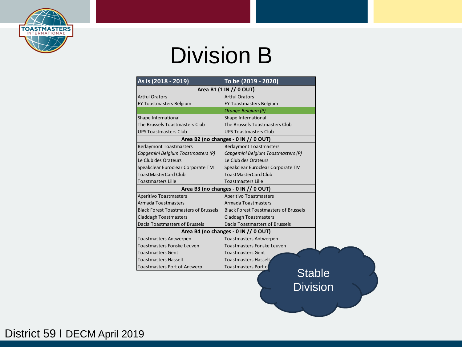

#### Division B

| As Is (2018 - 2019)                          | To be (2019 - 2020)                          |
|----------------------------------------------|----------------------------------------------|
|                                              | Area B1 (1 IN // 0 OUT)                      |
| <b>Artful Orators</b>                        | <b>Artful Orators</b>                        |
| <b>EY Toastmasters Belgium</b>               | <b>EY Toastmasters Belgium</b>               |
|                                              | Orange Belgium (P)                           |
| Shape International                          | Shape International                          |
| The Brussels Toastmasters Club               | The Brussels Toastmasters Club               |
| <b>UPS Toastmasters Club</b>                 | <b>UPS Toastmasters Club</b>                 |
|                                              | Area B2 (no changes - 0 IN // 0 OUT)         |
| <b>Berlaymont Toastmasters</b>               | <b>Berlaymont Toastmasters</b>               |
| Capaemini Belgium Toastmasters (P)           | Capgemini Belgium Toastmasters (P)           |
| Le Club des Orateurs                         | Le Club des Orateurs                         |
| Speakclear Euroclear Corporate TM            | Speakclear Euroclear Corporate TM            |
| <b>ToastMasterCard Club</b>                  | <b>ToastMasterCard Club</b>                  |
| <b>Toastmasters Lille</b>                    | <b>Toastmasters Lille</b>                    |
|                                              | Area B3 (no changes - 0 IN // 0 OUT)         |
| <b>Aperitivo Toastmasters</b>                | <b>Aperitivo Toastmasters</b>                |
| Armada Toastmasters                          | Armada Toastmasters                          |
| <b>Black Forest Toastmasters of Brussels</b> | <b>Black Forest Toastmasters of Brussels</b> |
| <b>Claddagh Toastmasters</b>                 | <b>Claddagh Toastmasters</b>                 |
| Dacia Toastmasters of Brussels               | Dacia Toastmasters of Brussels               |
|                                              | Area B4 (no changes - 0 IN // 0 OUT)         |
| <b>Toastmasters Antwerpen</b>                | <b>Toastmasters Antwerpen</b>                |
| <b>Toastmasters Fonske Leuven</b>            | Toastmasters Fonske Leuven                   |
| <b>Toastmasters Gent</b>                     | <b>Toastmasters Gent</b>                     |
| <b>Toastmasters Hasselt</b>                  | Toastmasters Hasselt                         |
|                                              | <b>Toastmasters Port of</b>                  |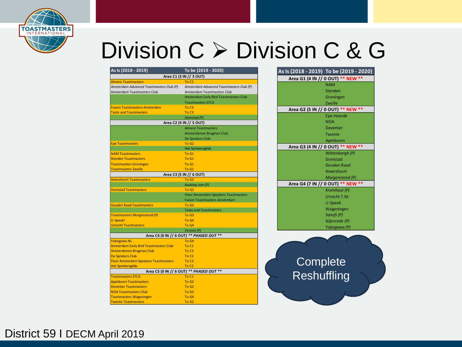

# Division C ➢ Division C & G

| As Is (2018 - 2019)                           | To be (2019 - 2020)                          |
|-----------------------------------------------|----------------------------------------------|
|                                               | Area C1 (3 IN // 3 OUT)                      |
| <b>Almere Toastmasters</b>                    | To C <sub>2</sub>                            |
| Amsterdam Advanced Toastmasters Club (P)      | Amsterdam Advanced Toastmasters Club (P)     |
| Amsterdam Toastmasters Club                   | Amsterdam Toastmasters Club                  |
|                                               | Amsterdam Early Bird Toastmasters Club       |
|                                               | <b>Toastmasters STCA</b>                     |
| <b>Fusion Toastmasters Amsterdam</b>          | To C <sub>3</sub>                            |
| <b>Taste and Toastmasters</b>                 | To C <sub>3</sub>                            |
|                                               | Zaanstad (P)                                 |
|                                               | Area C2 (4 IN // 5 OUT)                      |
|                                               | <b>Almere Toastmasters</b>                   |
|                                               | Amsterdamse Brugman Club                     |
|                                               | De Sprekers Club                             |
| <b>Epe Toastmasters</b>                       | To G <sub>2</sub>                            |
|                                               | <b>Het Sprekersgilde</b>                     |
| <b>NAM Toastmasters</b>                       | To G1                                        |
| <b>Stenden Toastmasters</b>                   | To G1                                        |
| <b>Toastmasters Groningen</b>                 | To G1                                        |
| <b>Toastmasters Zwolle</b>                    | To G1                                        |
|                                               | Area C3 (5 IN // 6 OUT)                      |
| <b>Amersfoort Toastmasters</b>                | To G3                                        |
|                                               | booking.com (P)                              |
| <b>Domstad Toastmasters</b>                   | To G3                                        |
|                                               | <b>Fluor Amsterdam Speakers Toastmasters</b> |
|                                               | <b>Fusion Toastmasters Amsterdam</b>         |
| <b>Gouden Raad Toastmasters</b>               | To G3                                        |
|                                               | <b>Taste and Toastmasters</b>                |
| <b>Toastmasters Morgenstond (P)</b>           | To G3                                        |
| U-Speak!                                      | To G4                                        |
| <b>Utrecht Toastmasters</b>                   | To G4                                        |
|                                               | Verizon (P)                                  |
|                                               | Area C4 (0 IN // 6 OUT) ** PHASED OUT **     |
| <b>Yokogawa NL</b>                            | To G4                                        |
| <b>Amsterdam Early Bird Toastmasters Club</b> | To C1                                        |
| <b>Amsterdamse Brugman Club</b>               | To C <sub>2</sub>                            |
| <b>De Sprekers Club</b>                       | To C <sub>2</sub>                            |
| <b>Fluor Amsterdam Speakers Toastmasters</b>  | To C <sub>3</sub>                            |
| <b>Het Sprekersgilde</b>                      | To C <sub>2</sub>                            |
|                                               | Area C5 (0 IN // 6 OUT) ** PHASED OUT **     |
| <b>Toastmasters STCA</b>                      | To C1                                        |
| <b>Apeldoorn Toastmasters</b>                 | To G <sub>2</sub>                            |
| <b>Deventer Toastmasters</b>                  | To G <sub>2</sub>                            |
| <b>NOA Toastmasters Club</b>                  | To G <sub>2</sub>                            |
| <b>Toastmasters Wageningen</b>                | To G4                                        |
| <b>Twente Toastmasters</b>                    | ToG2                                         |

| As Is (2018 - 2019) To be (2019 - 2020) |
|-----------------------------------------|
| Area G1 (4 IN // 0 OUT) ** NEW **       |
| <b>NAM</b>                              |
| Stenden                                 |
| Groningen                               |
| Zwolle                                  |
| Area G2 (5 IN // 0 OUT) ** NEW **       |
| Epe-Heerde                              |
| <b>NOA</b>                              |
| Deventer                                |
| Twente                                  |
| Apeldoorn                               |
| Area G3 (4 IN // 0 OUT) ** NEW **       |
| Wittenborgh (P)                         |
| Domstad                                 |
| <b>Gouden Raad</b>                      |
| Amersfoort                              |
| Morgenstond (P)                         |
| Area G4 (7 IN // 0 OUT) ** NEW **       |
| Kromhout (P)                            |
| Utrecht T.M.                            |
| U-Speak                                 |
| Wageningen                              |
| Sanofi (P)                              |
| Nijenrode (P)                           |
| Yokogawa (P)                            |
|                                         |
|                                         |
|                                         |
|                                         |
| Complete                                |
|                                         |
| Reshuffling                             |
|                                         |
|                                         |
|                                         |
|                                         |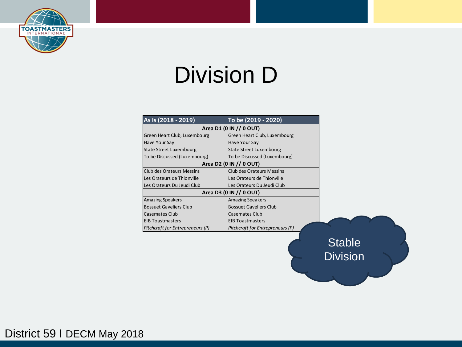

# Division D

| As Is (2018 - 2019)              | To be (2019 - 2020)              |        |
|----------------------------------|----------------------------------|--------|
|                                  | Area D1 (0 IN // 0 OUT)          |        |
| Green Heart Club, Luxembourg     | Green Heart Club, Luxembourg     |        |
| Have Your Say                    | Have Your Say                    |        |
| State Street Luxembourg          | State Street Luxembourg          |        |
| To be Discussed (Luxembourg)     | To be Discussed (Luxembourg)     |        |
|                                  | Area D2 (0 IN // 0 OUT)          |        |
| <b>Club des Orateurs Messins</b> | Club des Orateurs Messins        |        |
| Les Orateurs de Thionville       | Les Orateurs de Thionville       |        |
| Les Orateurs Du Jeudi Club       | Les Orateurs Du Jeudi Club       |        |
|                                  | Area D3 (0 IN // 0 OUT)          |        |
| <b>Amazing Speakers</b>          | <b>Amazing Speakers</b>          |        |
| <b>Bossuet Gaveliers Club</b>    | <b>Bossuet Gaveliers Club</b>    |        |
| Casemates Club                   | Casemates Club                   |        |
| <b>EIB Toastmasters</b>          | <b>EIB Toastmasters</b>          |        |
| Pitchcraft for Entrepreneurs (P) | Pitchcraft for Entrepreneurs (P) |        |
|                                  |                                  |        |
|                                  |                                  | Stable |

Division

District 59 I DECM May 2018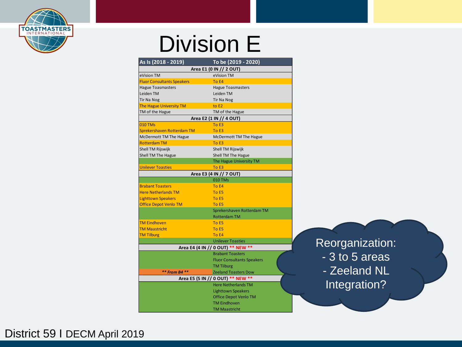

#### Division E

| As Is (2018 - 2019)               | To be (2019 - 2020)               |  |
|-----------------------------------|-----------------------------------|--|
|                                   | Area E1 (0 IN // 2 OUT)           |  |
| eVision TM                        | eVision TM                        |  |
| <b>Fluor Consultants Speakers</b> | To E4                             |  |
| <b>Hague Toasmasters</b>          | <b>Hague Toasmasters</b>          |  |
| Leiden TM                         | Leiden TM                         |  |
| Tir Na Nog                        | <b>Tir Na Nog</b>                 |  |
| The Hague University TM           | to E2                             |  |
| TM of the Hague                   | TM of the Hague                   |  |
|                                   | Area E2 (1 IN // 4 OUT)           |  |
| <b>010 TMs</b>                    | To E3                             |  |
| Sprekershaven Rotterdam TM        | To E3                             |  |
| McDermott TM The Hague            | McDermott TM The Hague            |  |
| <b>Rotterdam TM</b>               | To E3                             |  |
| Shell TM Rijswijk                 | Shell TM Rijswijk                 |  |
| Shell TM The Hague                | Shell TM The Hague                |  |
|                                   | The Hague University TM           |  |
| <b>Unilever Toasties</b>          | To E3                             |  |
|                                   | Area E3 (4 IN // 7 OUT)           |  |
|                                   | 010 TMs                           |  |
| <b>Brabant Toasters</b>           | To E4                             |  |
| <b>Here Netherlands TM</b>        | To E5                             |  |
| <b>Lighttown Speakers</b>         | To E5                             |  |
| <b>Office Depot Venlo TM</b>      | To E5                             |  |
|                                   | Sprekershaven Rotterdam TM        |  |
|                                   | <b>Rotterdam TM</b>               |  |
| <b>TM Eindhoven</b>               | To E5                             |  |
| <b>TM Maastricht</b>              | To E5                             |  |
| <b>TM Tilburg</b>                 | To E4                             |  |
|                                   | <b>Unilever Toasties</b>          |  |
|                                   | Area E4 (4 IN // 0 OUT) ** NEW ** |  |
|                                   | <b>Brabant Toasters</b>           |  |
|                                   | <b>Fluor Consultants Speakers</b> |  |
|                                   | <b>TM Tilburg</b>                 |  |
| ** From B4 **                     | <b>Zeeland Toasters Dow</b>       |  |
|                                   | Area E5 (5 IN // 0 OUT) ** NEW ** |  |
|                                   | <b>Here Netherlands TM</b>        |  |
|                                   | <b>Lighttown Speakers</b>         |  |
|                                   | <b>Office Depot Venlo TM</b>      |  |
|                                   | <b>TM Eindhoven</b>               |  |
|                                   | <b>TM Maastricht</b>              |  |

Reorganization: - 3 to 5 areas - Zeeland NL Integration?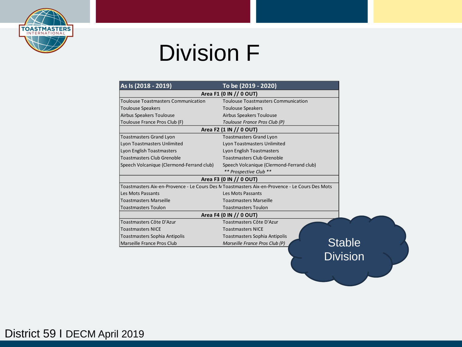

## Division F

| <b>Toulouse Toastmasters Communication</b><br><b>Toulouse Speakers</b><br>Airbus Speakers Toulouse<br>Toulouse France Pros Club (F) | Area F1 (0 IN // 0 OUT)<br><b>Toulouse Toastmasters Communication</b><br><b>Toulouse Speakers</b><br>Airbus Speakers Toulouse |               |
|-------------------------------------------------------------------------------------------------------------------------------------|-------------------------------------------------------------------------------------------------------------------------------|---------------|
|                                                                                                                                     |                                                                                                                               |               |
|                                                                                                                                     |                                                                                                                               |               |
|                                                                                                                                     |                                                                                                                               |               |
|                                                                                                                                     |                                                                                                                               |               |
|                                                                                                                                     | Toulouse France Pros Club (P)                                                                                                 |               |
|                                                                                                                                     | Area F2 (1 IN // 0 OUT)                                                                                                       |               |
| <b>Toastmasters Grand Lyon</b>                                                                                                      | <b>Toastmasters Grand Lyon</b>                                                                                                |               |
| Lyon Toastmasters Unlimited                                                                                                         | Lyon Toastmasters Unlimited                                                                                                   |               |
| Lyon English Toastmasters                                                                                                           | Lyon English Toastmasters                                                                                                     |               |
| <b>Toastmasters Club Grenoble</b>                                                                                                   | <b>Toastmasters Club Grenoble</b>                                                                                             |               |
| Speech Volcanique (Clermond-Ferrand club)                                                                                           | Speech Volcanique (Clermond-Ferrand club)                                                                                     |               |
|                                                                                                                                     | ** Prospective Club **                                                                                                        |               |
|                                                                                                                                     | Area F3 (0 IN // 0 OUT)                                                                                                       |               |
|                                                                                                                                     | Toastmasters Aix-en-Provence - Le Cours Des N Toastmasters Aix-en-Provence - Le Cours Des Mots                                |               |
| Les Mots Passants                                                                                                                   | Les Mots Passants                                                                                                             |               |
| <b>Toastmasters Marseille</b>                                                                                                       | <b>Toastmasters Marseille</b>                                                                                                 |               |
| <b>Toastmasters Toulon</b>                                                                                                          | <b>Toastmasters Toulon</b>                                                                                                    |               |
|                                                                                                                                     | Area F4 (0 IN // 0 OUT)                                                                                                       |               |
| Toastmasters Côte D'Azur                                                                                                            | Toastmasters Côte D'Azur                                                                                                      |               |
| <b>Toastmasters NICE</b>                                                                                                            | <b>Toastmasters NICE</b>                                                                                                      |               |
| <b>Toastmasters Sophia Antipolis</b>                                                                                                | Toastmasters Sophia Antipolis                                                                                                 |               |
| Marseille France Pros Club                                                                                                          | Marseille France Pros Club (P)                                                                                                | <b>Stable</b> |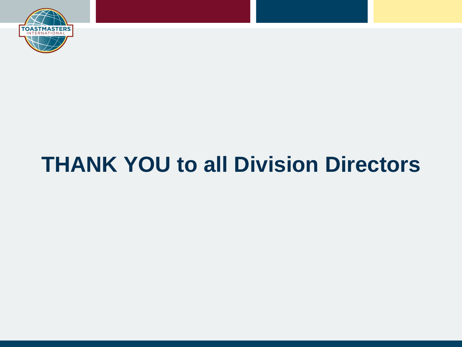

# **THANK YOU to all Division Directors**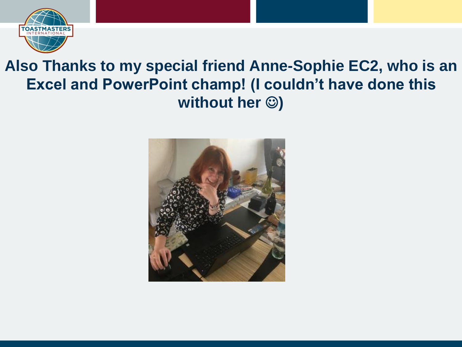

#### **Also Thanks to my special friend Anne-Sophie EC2, who is an Excel and PowerPoint champ! (I couldn't have done this without her**  $\circledcirc$